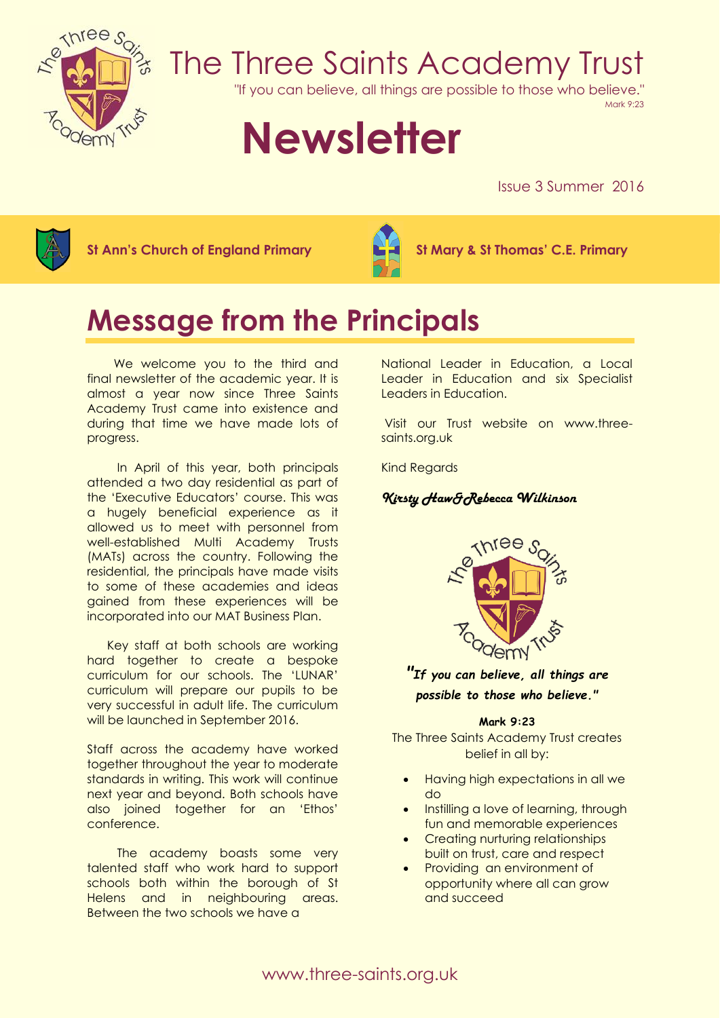

# The Three Saints Academy Trust

"If you can believe, all things are possible to those who believe."

Mark 9:23

# **Newsletter**

Issue 3 Summer 2016



**St Ann's Church of England Primary St Mary & St Thomas' C.E. Primary**



# **Message from the Principals**

We welcome you to the third and final newsletter of the academic year. It is almost a year now since Three Saints Academy Trust came into existence and during that time we have made lots of progress.

In April of this year, both principals attended a two day residential as part of the 'Executive Educators' course. This was a hugely beneficial experience as it allowed us to meet with personnel from well-established Multi Academy Trusts (MATs) across the country. Following the residential, the principals have made visits to some of these academies and ideas gained from these experiences will be incorporated into our MAT Business Plan.

 Key staff at both schools are working hard together to create a bespoke curriculum for our schools. The 'LUNAR' curriculum will prepare our pupils to be very successful in adult life. The curriculum will be launched in September 2016.

Staff across the academy have worked together throughout the year to moderate standards in writing. This work will continue next year and beyond. Both schools have also joined together for an 'Ethos' conference.

The academy boasts some very talented staff who work hard to support schools both within the borough of St Helens and in neighbouring areas. Between the two schools we have a

National Leader in Education, a Local Leader in Education and six Specialist Leaders in Education.

Visit our Trust website on www.threesaints.org.uk

Kind Regards

# *Kirsty Haw&Rebecca Wilkinson*



*"If you can believe, all things are possible to those who believe."*

#### **Mark 9:23**

The Three Saints Academy Trust creates belief in all by:

- Having high expectations in all we do
- Instilling a love of learning, through fun and memorable experiences
- Creating nurturing relationships built on trust, care and respect
- Providing an environment of opportunity where all can grow and succeed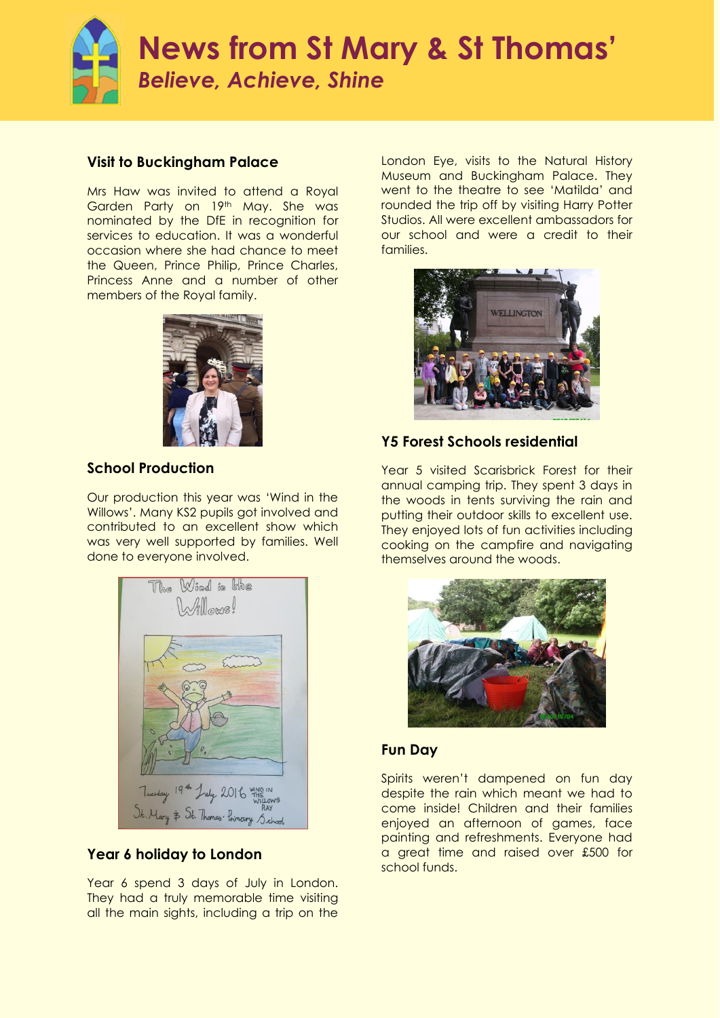

## **Visit to Buckingham Palace**

Mrs Haw was invited to attend a Royal Garden Party on 19th May. She was nominated by the DfE in recognition for services to education. It was a wonderful occasion where she had chance to meet the Queen, Prince Philip, Prince Charles, Princess Anne and a number of other members of the Royal family.



# **School Production**

Our production this year was 'Wind in the Willows'. Many KS2 pupils got involved and contributed to an excellent show which was very well supported by families. Well done to everyone involved.



# **Year 6 holiday to London**

Year 6 spend 3 days of July in London. They had a truly memorable time visiting all the main sights, including a trip on the

London Eye, visits to the Natural History Museum and Buckingham Palace. They went to the theatre to see 'Matilda' and rounded the trip off by visiting Harry Potter Studios. All were excellent ambassadors for our school and were a credit to their families.



# **Y5 Forest Schools residential**

Year 5 visited Scarisbrick Forest for their annual camping trip. They spent 3 days in the woods in tents surviving the rain and putting their outdoor skills to excellent use. They enjoyed lots of fun activities including cooking on the campfire and navigating themselves around the woods.



# **Fun Day**

Spirits weren't dampened on fun day despite the rain which meant we had to come inside! Children and their families enjoyed an afternoon of games, face painting and refreshments. Everyone had a great time and raised over £500 for school funds.